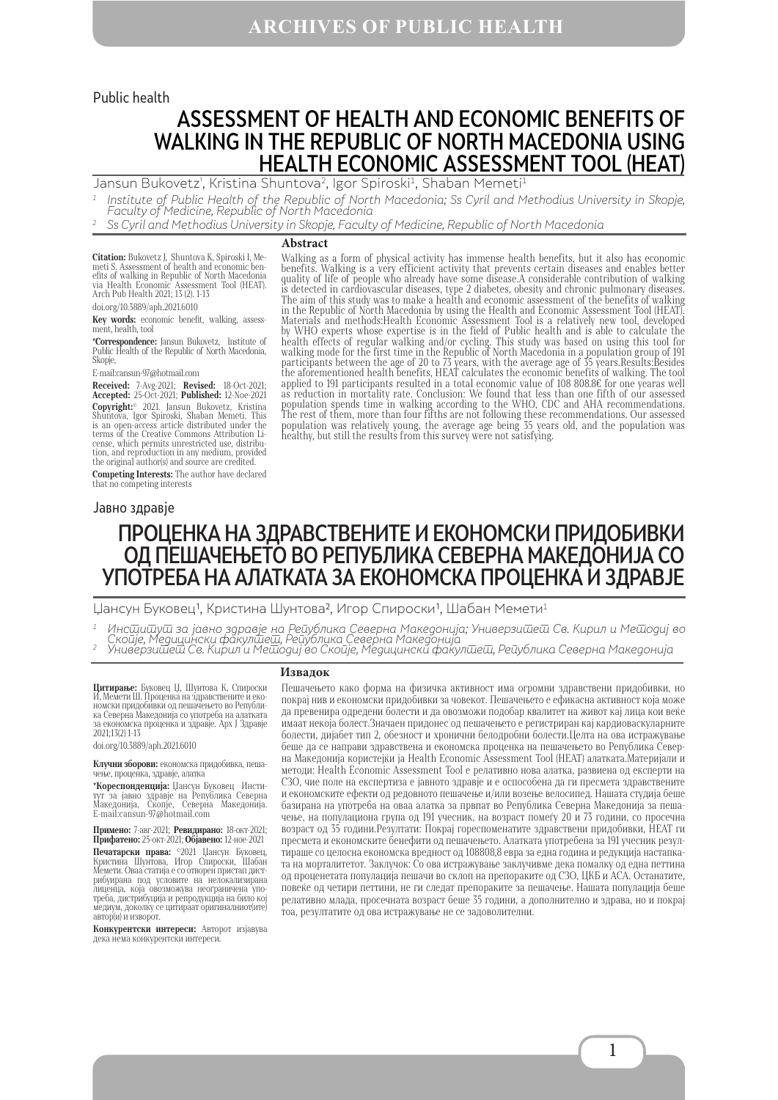#### Public health

# ASSESSMENT OF HEALTH AND ECONOMIC BENEFITS OF WALKING IN THE REPUBLIC OF NORTH MACEDONIA USING HEALTH ECONOMIC ASSESSMENT TOOL (HEAT)

Jansun Bukovetz', Kristina Shuntova<sup>2</sup>, Igor Spiroski<sup>1</sup>, Shaban Memeti<sup>1</sup>

 $^{\rm 1}$  Institute of Public Health of the Republic of North Macedonia; Ss Cyril and Methodius University in Skopje, Faculty of Medicine, Republic of North Macedonia

<sup>2</sup> Ss Cyril and Methodius University in Skopje, Faculty of Medicine, Republic of North Macedonia

#### **Abstract**

**Citation:** Bukovetz J, Shuntova K, Spiroski I, Memeti S. Assessment of health and economic benefits of walking in Republic of North Macedonia<br>via Health Economic Assessment Tool (HEAT).<br>via Health Economic Assessment Tool doi.org/10.3889/aph.2021.6010

**Key words:** economic benefit, walking, assess-

ment, health, tool

**\*Correspondence:** Jansun Bukovetz, Institute of Public Health of the Republic of North Macedonia, Skopje,

Е-mail:cansun-97@hotmail.com

**Received:** 7-Avg-2021; **Revised:** 18-Oct-2021; **Accepted:** 25-Oct-2021; **Published:** 12-Noe-2021 **Copyright:**© 2021. Jansun Bukovetz, Kristina Shuntova, Igor Spiroski, Shaban Memeti. This is an open-access article distributed under the terms of the Creative Commons Attribution Li-cense, which permits unrestricted use, distribu-tion, and reproduction in any medium, provided the original author(s) and source are credited.

**Competing Interests:** The author have declared that no competing interests

Walking as a form of physical activity has immense health benefits, but it also has economic benefits. Walking is a very efficient activity that prevents certain diseases and enables better quality of life of people who already have some disease.A considerable contribution of walking is detected in cardiovascular diseases, type 2 diabetes, obesity and chronic pulmonary diseases. The aim of this study was to make a health and economic assessment of the benefits of walking in the Republic of North Macedonia by using the Health and Economic Assessment Tool (HEAT). Materials and methods:Health Economic Assessment Tool is a relatively new tool, developed by WHO experts whose expertise is in the field of Public health and is able to calculate the health effects of regular walking and/or cycling. This study was based on using this tool for walking mode for the first time in the Republic of North Macedonia in a population group of 191 participants between the age of 20 to 73 years, with the average age of 35 years.Results:Besides the aforementioned health benefits, HEAT calculates the economic benefits of walking. The tool applied to 191 participants resulted in a total economic value of 108 808.8€ for one yearas well as reduction in mortality rate. Conclusion: We found that less than one fifth of our assessed population spends time in walking according to the WHO, CDC and AHA recommendations. The rest of them, more than four fifths are not following these recommendations. Our assessed population was relatively young, the average age being 35 years old, and the population was healthy, but still the results from this survey were not satisfying.

#### Jавно здравје

# ПРОЦЕНКА НА ЗДРАВСТВЕНИТЕ И ЕКОНОМСКИ ПРИДОБИВКИ ОД ПЕШАЧЕЊЕТО ВО РЕПУБЛИКА СЕВЕРНА МАКЕДОНИЈА СО УПОТРЕБА НА АЛАТКАТА ЗА ЕКОНОМСКА ПРОЦЕНКА И ЗДРАВЈЕ

Џансун Буковец<sup>1</sup>, Кристина Шунтова<sup>2</sup>, Игор Спироски<sup>1</sup>, Шабан Мемети<sup>1</sup>

 $^{\rm 1}$  Инс $\bar \omega$ ш $\bar \omega$ иза јавно здравје на Ре $\bar \omega$ ублика Северна Македонија; Универзи $\bar \omega$ е $\bar \omega$  Св. Кирил и Ме $\bar \omega$ одиј во

Скойје, Медицински факулшеш, Рейублика Северна Македонија '<br><sup>2</sup> Универзишеш Св. Кирил и Мешодиј во Скойје, Медицински факулшеш, Рейублика Северна Македонија

**Цитирање:** Буковец Џ, Шунтова К, Спироски И, Мемети III. Проценка на здравствените и еко-<br>номски придобивки од пешачењето во Републи-<br>ка Северна Македонија со употреба на алатката за економска проценка и здравје. Арх Ј Здравје 2021;13(2) 1-13

doi.org/10.3889/aph.2021.6010

**Клучни зборови:** економска придобивка, пеша- чење, проценка, здравје, алатка

**\*Кореспонденција:** Џансун Буковец Инсти-<br>тут за јавно здравје на Република Северна<br>Македонија, Скопје, Северна<br>E-mail:cansun-97@hotmail.com

**Примено:** 7-авг-2021; **Ревидирано:** 18-окт-2021; **Прифатено:** 25-окт-2021; **Објавено:** 12-ное-2021

**Печатарски права:** ©2021 Џансун Буковец,<br>Кристина Шунтова, Игор Спироски, Шабан Мемети. Оваа статија е со отворен пристап дист-<br>рибуирана под условите на нелокализирана листа, тола статил се отворен пристандители делокализирана<br>лиценца, која овозможува неограничена упо-<br>треба, дистрибуција и репродукција на било кој медиум, доколку се цитираат оригиналниот(ите) автор(и) и изворот.

**Конкурентски интереси:** Авторот изјавува дека нема конкурентски интереси.

#### **Извадок**

Пешачењето како форма на физичка активност има огромни здравствени придобивки, но покрај нив и економски придобивки за човекот. Пешачењето е ефикасна активност која може да превенира одредени болести и да овозможи подобар квалитет на живот кај лица кои веќе имаат некоја болест.Значаен придонес од пешачењето е регистриран кај кардиоваскуларните болести, дијабет тип 2, обезност и хронични белодробни болести.Целта на ова истражување беше да се направи здравствена и економска проценка на пешачењето во Република Северна Македонија користејќи ја Health Economic Assessment Tool (HEAT) алатката.Материјали и методи: Health Economic Assessment Tool е релативно нова алатка, развиена од експерти на СЗО, чие поле на експертиза е јавното здравје и е оспособена да ги пресмета здравствените и економските ефекти од редовното пешачење и/или возење велосипед. Нашата студија беше базирана на употреба на оваа алатка за првпат во Република Северна Македонија за пешачење, на популациона група од 191 учесник, на возраст помеѓу 20 и 73 години, со просечна возраст од 35 години.Резултати: Покрај гореспоменатите здравствени придобивки, HEAT ги пресмета и економските бенефити од пешачењето. Алатката употребена за 191 учесник резултираше со целосна економска вредност од 108808,8 евра за една година и редукција настапката на морталитетот. Заклучок: Со ова истражување заклучивме дека помалку од една петтина од проценетата популација пешачи во склоп на препораките од СЗО, ЦКБ и АСА. Останатите, повеќе од четири петтини, не ги следат препораките за пешачење. Нашата популација беше релативно млада, просечната возраст беше 35 години, а дополнително и здрава, но и покрај тоа, резултатите од ова истражување не се задоволителни.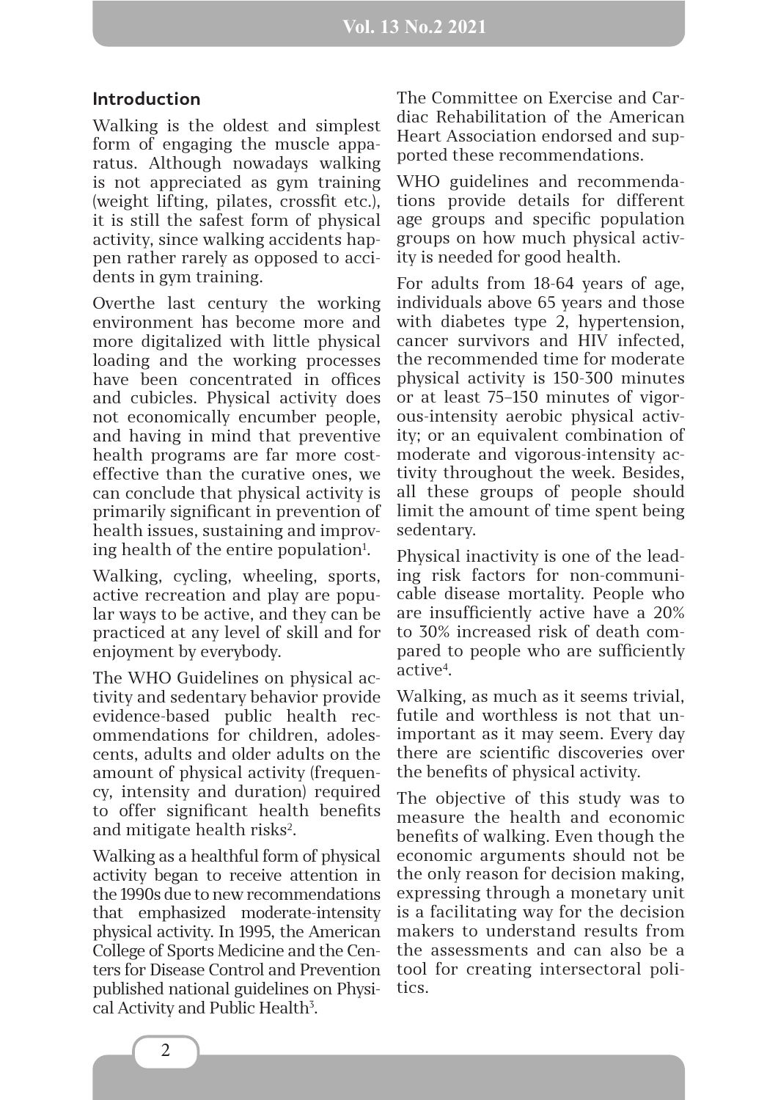#### **Introduction**

Walking is the oldest and simplest form of engaging the muscle apparatus. Although nowadays walking is not appreciated as gym training (weight lifting, pilates, crossfit etc.), it is still the safest form of physical activity, since walking accidents happen rather rarely as opposed to accidents in gym training.

Overthe last century the working environment has become more and more digitalized with little physical loading and the working processes have been concentrated in offices and cubicles. Physical activity does not economically encumber people, and having in mind that preventive health programs are far more costeffective than the curative ones, we can conclude that physical activity is primarily significant in prevention of health issues, sustaining and improving health of the entire population<sup>1</sup>.

Walking, cycling, wheeling, sports, active recreation and play are popular ways to be active, and they can be practiced at any level of skill and for enjoyment by everybody.

The WHO Guidelines on physical activity and sedentary behavior provide evidence-based public health recommendations for children, adolescents, adults and older adults on the amount of physical activity (frequency, intensity and duration) required to offer significant health benefits and mitigate health risks<sup>2</sup>.

Walking as a healthful form of physical activity began to receive attention in the 1990s due to new recommendations that emphasized moderate-intensity physical activity. In 1995, the American College of Sports Medicine and the Centers for Disease Control and Prevention published national guidelines on Physical Activity and Public Health<sup>3</sup>.

The Committee on Exercise and Cardiac Rehabilitation of the American Heart Association endorsed and supported these recommendations.

WHO guidelines and recommendations provide details for different age groups and specific population groups on how much physical activity is needed for good health.

For adults from 18-64 years of age, individuals above 65 years and those with diabetes type 2, hypertension, cancer survivors and HIV infected, the recommended time for moderate physical activity is 150-300 minutes or at least 75–150 minutes of vigorous-intensity aerobic physical activity; or an equivalent combination of moderate and vigorous-intensity activity throughout the week. Besides, all these groups of people should limit the amount of time spent being sedentary.

Physical inactivity is one of the leading risk factors for non-communicable disease mortality. People who are insufficiently active have a 20% to 30% increased risk of death compared to people who are sufficiently active<sup>4</sup>.

Walking, as much as it seems trivial, futile and worthless is not that unimportant as it may seem. Every day there are scientific discoveries over the benefits of physical activity.

The objective of this study was to measure the health and economic benefits of walking. Even though the economic arguments should not be the only reason for decision making, expressing through a monetary unit is a facilitating way for the decision makers to understand results from the assessments and can also be a tool for creating intersectoral politics.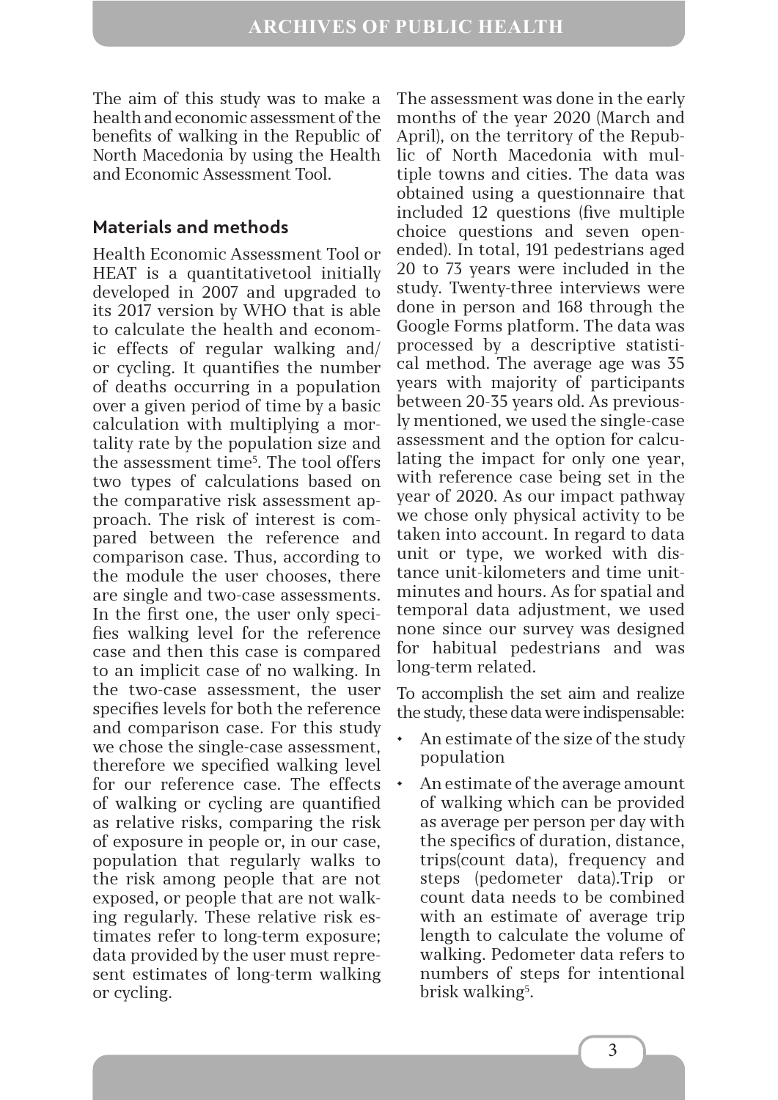The aim of this study was to make a health and economic assessment of the benefits of walking in the Republic of North Macedonia by using the Health and Economic Assessment Tool.

### **Materials and methods**

Health Economic Assessment Tool or HEAT is a quantitativetool initially developed in 2007 and upgraded to its 2017 version by WHO that is able to calculate the health and economic effects of regular walking and/ or cycling. It quantifies the number of deaths occurring in a population over a given period of time by a basic calculation with multiplying a mortality rate by the population size and the assessment time5 . The tool offers two types of calculations based on the comparative risk assessment approach. The risk of interest is compared between the reference and comparison case. Thus, according to the module the user chooses, there are single and two-case assessments. In the first one, the user only specifies walking level for the reference case and then this case is compared to an implicit case of no walking. In the two-case assessment, the user specifies levels for both the reference and comparison case. For this study we chose the single-case assessment, therefore we specified walking level for our reference case. The effects of walking or cycling are quantified as relative risks, comparing the risk of exposure in people or, in our case, population that regularly walks to the risk among people that are not exposed, or people that are not walking regularly. These relative risk estimates refer to long-term exposure; data provided by the user must represent estimates of long-term walking or cycling.

The assessment was done in the early months of the year 2020 (March and April), on the territory of the Republic of North Macedonia with multiple towns and cities. The data was obtained using a questionnaire that included 12 questions (five multiple choice questions and seven openended). In total, 191 pedestrians aged 20 to 73 years were included in the study. Twenty-three interviews were done in person and 168 through the Google Forms platform. The data was processed by a descriptive statistical method. The average age was 35 years with majority of participants between 20-35 years old. As previously mentioned, we used the single-case assessment and the option for calculating the impact for only one year, with reference case being set in the year of 2020. As our impact pathway we chose only physical activity to be taken into account. In regard to data unit or type, we worked with distance unit-kilometers and time unitminutes and hours. As for spatial and temporal data adjustment, we used none since our survey was designed for habitual pedestrians and was long-term related.

To accomplish the set aim and realize the study, these data were indispensable:

- An estimate of the size of the study population
- An estimate of the average amount of walking which can be provided as average per person per day with the specifics of duration, distance, trips(count data), frequency and steps (pedometer data).Trip or count data needs to be combined with an estimate of average trip length to calculate the volume of walking. Pedometer data refers to numbers of steps for intentional brisk walking<sup>5</sup>.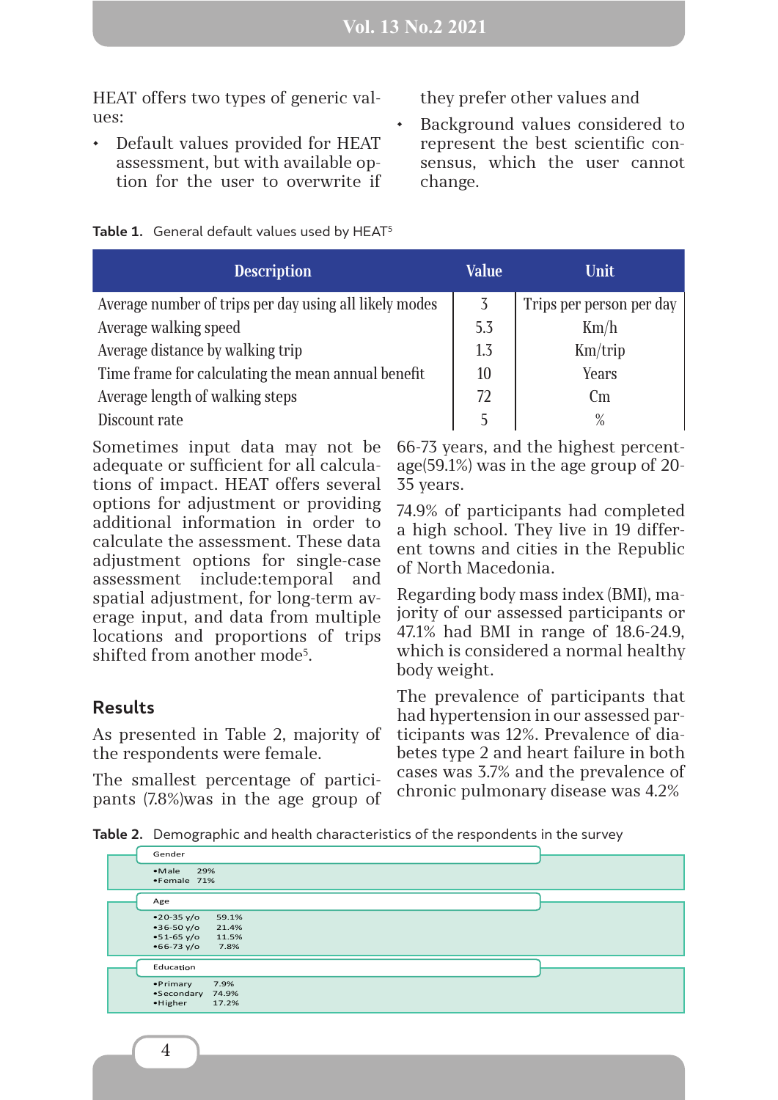HEAT offers two types of generic values:

• Default values provided for HEAT assessment, but with available option for the user to overwrite if they prefer other values and

• Background values considered to represent the best scientific consensus, which the user cannot change.

| Table 1. General default values used by HEAT <sup>5</sup> |  |  |  |  |  |  |
|-----------------------------------------------------------|--|--|--|--|--|--|
|-----------------------------------------------------------|--|--|--|--|--|--|

| <b>Description</b>                                     | <b>Value</b> | Unit                     |  |
|--------------------------------------------------------|--------------|--------------------------|--|
| Average number of trips per day using all likely modes |              | Trips per person per day |  |
| Average walking speed                                  |              | Km/h                     |  |
| Average distance by walking trip                       |              | Km/trip                  |  |
| Time frame for calculating the mean annual benefit     |              | Years                    |  |
| Average length of walking steps                        |              | $\rm cm$                 |  |
| Discount rate                                          |              | $\%$                     |  |

Sometimes input data may not be adequate or sufficient for all calculations of impact. HEAT offers several options for adjustment or providing additional information in order to calculate the assessment. These data adjustment options for single-case assessment include:temporal and spatial adjustment, for long-term average input, and data from multiple locations and proportions of trips shifted from another mode<sup>5</sup>.

### **Results**

As presented in Table 2, majority of the respondents were female.

The smallest percentage of participants (7.8%)was in the age group of 66-73 years, and the highest percentage(59.1%) was in the age group of 20- 35 years.

74.9% of participants had completed a high school. They live in 19 different towns and cities in the Republic of North Macedonia.

Regarding body mass index (BMI), majority of our assessed participants or 47.1% had BMI in range of 18.6-24.9, which is considered a normal healthy body weight.

The prevalence of participants that had hypertension in our assessed participants was 12%. Prevalence of diabetes type 2 and heart failure in both cases was 3.7% and the prevalence of chronic pulmonary disease was 4.2%

**Table 2.** Demographic and health characteristics of the respondents in the survey

| Gender                                                         |                                 |  |
|----------------------------------------------------------------|---------------------------------|--|
| $\bullet$ Male<br>29%<br>•Female 71%                           |                                 |  |
| Age                                                            |                                 |  |
| $•20-35 y/o$<br>$•36-50 y/o$<br>$•51-65 y/o$<br>$•66 - 73 y/o$ | 59.1%<br>21.4%<br>11.5%<br>7.8% |  |
| Education                                                      |                                 |  |
| • Primary<br>•Secondary 74.9%<br>$\bullet$ Higher              | 7.9%<br>17.2%                   |  |

4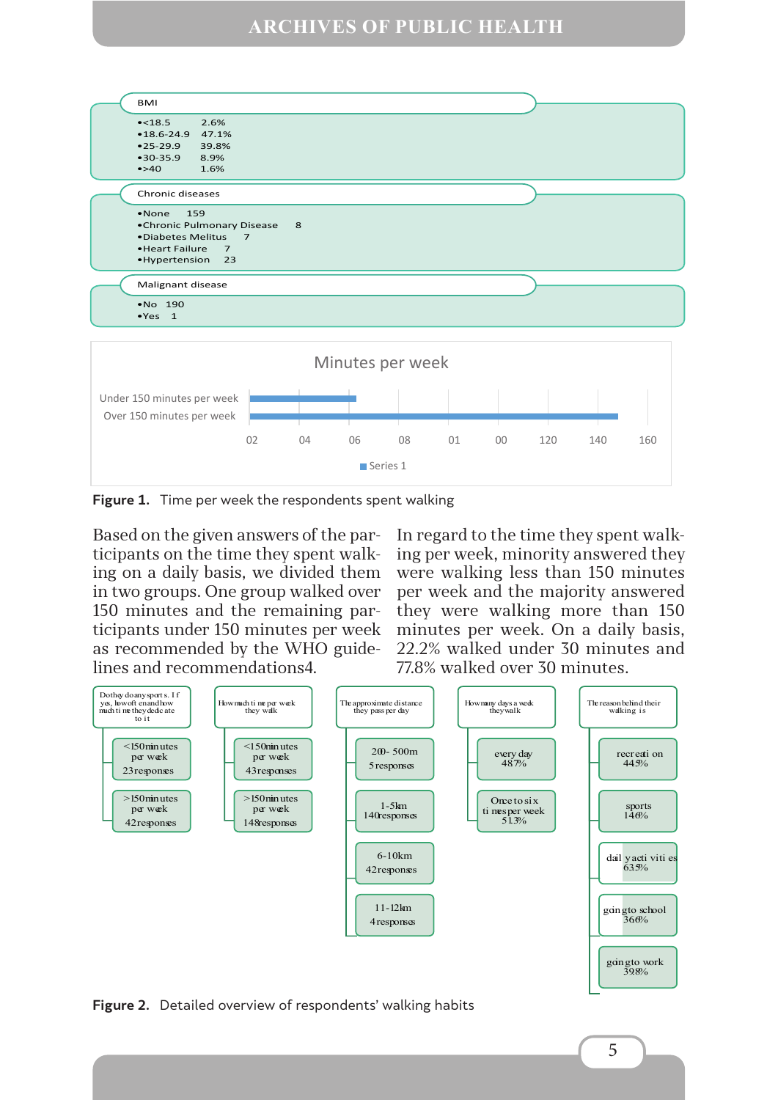### **ARCHIVES OF PUBLIC HEALTH**



**Figure 1.** Time per week the respondents spent walking

Based on the given answers of the participants on the time they spent walking on a daily basis, we divided them in two groups. One group walked over 150 minutes and the remaining participants under 150 minutes per week as recommended by the WHO guidelines and recommendations4.

In regard to the time they spent walking per week, minority answered they were walking less than 150 minutes per week and the majority answered they were walking more than 150 minutes per week. On a daily basis, 22.2% walked under 30 minutes and 77.8% walked over 30 minutes.



**Figure 2.** Detailed overview of respondents' walking habits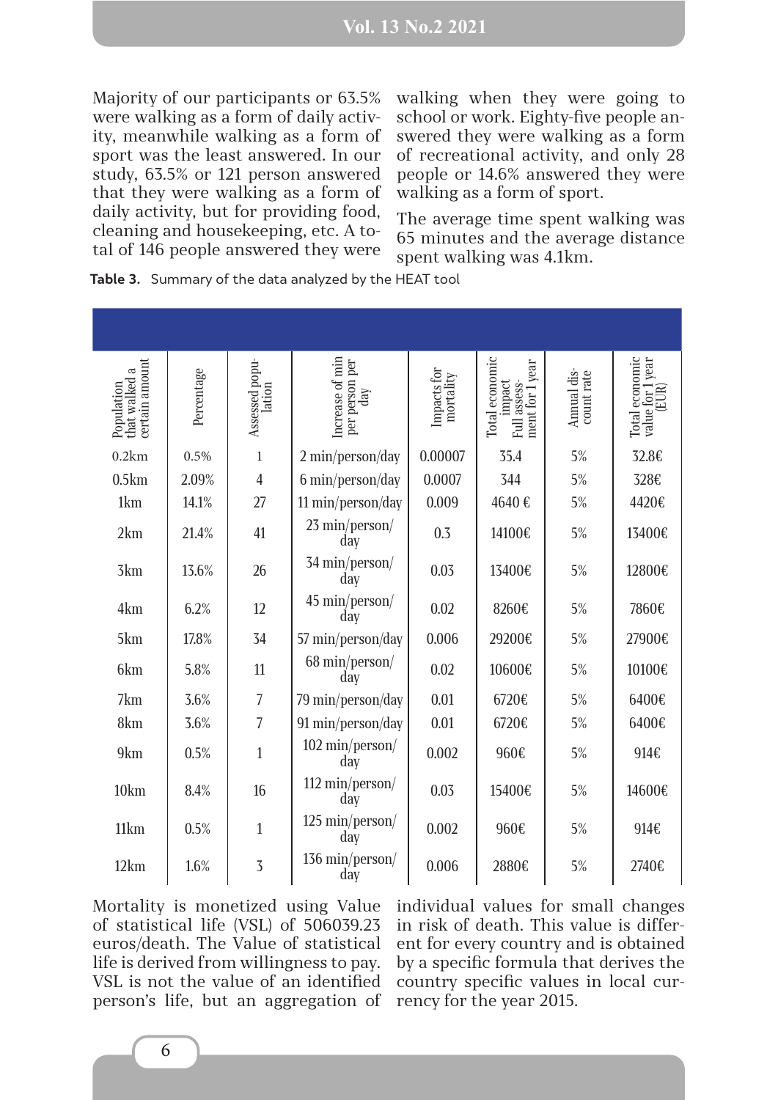Majority of our participants or 63.5% were walking as a form of daily activity, meanwhile walking as a form of sport was the least answered. In our study, 63.5% or 121 person answered that they were walking as a form of daily activity, but for providing food, cleaning and housekeeping, etc. A total of 146 people answered they were

walking when they were going to school or work. Eighty-five people answered they were walking as a form of recreational activity, and only 28 people or 14.6% answered they were walking as a form of sport.

The average time spent walking was 65 minutes and the average distance spent walking was 4.1km.

| certain amount<br>that walked a<br>Population | Percentage | Assessed popu-<br>lation | Increase of min<br>per person per<br>$\mathrm{day}$ | Impacts for<br>mortality | Total economic<br>ment for 1 year<br>impact<br>Full assess- | Annual dis-<br>count rate | Total economic<br>value for 1 year<br>(EUR) |
|-----------------------------------------------|------------|--------------------------|-----------------------------------------------------|--------------------------|-------------------------------------------------------------|---------------------------|---------------------------------------------|
| 0.2km                                         | 0.5%       | $\mathbf{1}$             | 2 min/person/day                                    | 0.00007                  | 35.4                                                        | 5%                        | 32.8€                                       |
| 0.5km                                         | 2.09%      | $\overline{4}$           | 6 min/person/day                                    | 0.0007                   | 344                                                         | 5%                        | 328€                                        |
| 1km                                           | 14.1%      | 27                       | 11 min/person/day                                   | 0.009                    | 4640€                                                       | 5%                        | 4420€                                       |
| 2km                                           | 21.4%      | 41                       | 23 min/person/<br>day                               | 0.3                      | 14100€                                                      | 5%                        | 13400€                                      |
| 3km                                           | 13.6%      | 26                       | 34 min/person/<br>day                               | 0.03                     | 13400€                                                      | 5%                        | 12800€                                      |
| 4km                                           | 6.2%       | 12                       | 45 min/person/<br>day                               | 0.02                     | 8260€                                                       | 5%                        | 7860€                                       |
| 5km                                           | 17.8%      | 34                       | 57 min/person/day                                   | 0.006                    | 29200€                                                      | 5%                        | 27900€                                      |
| 6km                                           | 5.8%       | 11                       | 68 min/person/<br>day                               | 0.02                     | 10600€                                                      | 5%                        | 10100€                                      |
| 7km                                           | 3.6%       | $\overline{7}$           | 79 min/person/day                                   | 0.01                     | 6720€                                                       | 5%                        | 6400€                                       |
| 8km                                           | 3.6%       | $\overline{7}$           | 91 min/person/day                                   | 0.01                     | 6720€                                                       | 5%                        | 6400€                                       |
| 9km                                           | 0.5%       | $\mathbf{1}$             | 102 min/person/<br>day                              | 0.002                    | 960€                                                        | 5%                        | 914€                                        |
| 10km                                          | 8.4%       | 16                       | 112 min/person/<br>day                              | 0.03                     | 15400€                                                      | 5%                        | 14600€                                      |
| 11km                                          | 0.5%       | $\mathbf{1}$             | 125 min/person/<br>day                              | 0.002                    | 960€                                                        | 5%                        | 914€                                        |
| 12km                                          | 1.6%       | $\overline{3}$           | 136 min/person/<br>day                              | 0.006                    | 2880€                                                       | 5%                        | 2740€                                       |

**Table 3.** Summary of the data analyzed by the HEAT tool

Mortality is monetized using Value of statistical life (VSL) of 506039.23 euros/death. The Value of statistical life is derived from willingness to pay. VSL is not the value of an identified person's life, but an aggregation of

individual values for small changes in risk of death. This value is different for every country and is obtained by a specific formula that derives the country specific values in local currency for the year 2015.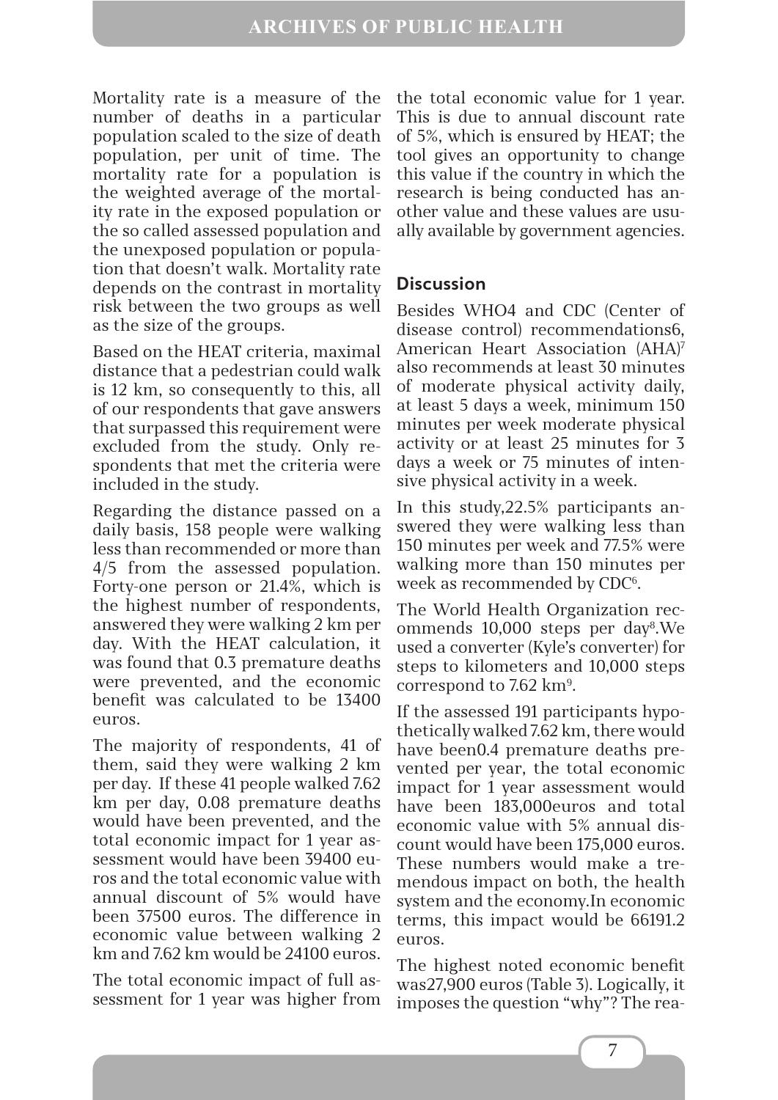Mortality rate is a measure of the number of deaths in a particular population scaled to the size of death population, per unit of time. The mortality rate for a population is the weighted average of the mortality rate in the exposed population or the so called assessed population and the unexposed population or population that doesn't walk. Mortality rate depends on the contrast in mortality risk between the two groups as well as the size of the groups.

Based on the HEAT criteria, maximal distance that a pedestrian could walk is 12 km, so consequently to this, all of our respondents that gave answers that surpassed this requirement were excluded from the study. Only respondents that met the criteria were included in the study.

Regarding the distance passed on a daily basis, 158 people were walking less than recommended or more than 4/5 from the assessed population. Forty-one person or 21.4%, which is the highest number of respondents, answered they were walking 2 km per day. With the HEAT calculation, it was found that 0.3 premature deaths were prevented, and the economic benefit was calculated to be 13400 euros.

The majority of respondents, 41 of them, said they were walking 2 km per day. If these 41 people walked 7.62 km per day, 0.08 premature deaths would have been prevented, and the total economic impact for 1 year assessment would have been 39400 euros and the total economic value with annual discount of 5% would have been 37500 euros. The difference in economic value between walking 2 km and 7.62 km would be 24100 euros.

The total economic impact of full assessment for 1 year was higher from the total economic value for 1 year. This is due to annual discount rate of 5%, which is ensured by HEAT; the tool gives an opportunity to change this value if the country in which the research is being conducted has another value and these values are usually available by government agencies.

### **Discussion**

Besides WHO4 and CDC (Center of disease control) recommendations6, American Heart Association (AHA)7 also recommends at least 30 minutes of moderate physical activity daily, at least 5 days a week, minimum 150 minutes per week moderate physical activity or at least 25 minutes for 3 days a week or 75 minutes of intensive physical activity in a week.

In this study,22.5% participants answered they were walking less than 150 minutes per week and 77.5% were walking more than 150 minutes per week as recommended by CDC<sup>6</sup>.

The World Health Organization recommends 10,000 steps per day8 .We used a converter (Kyle's converter) for steps to kilometers and 10,000 steps correspond to 7.62  $\rm km^9$ .

If the assessed 191 participants hypothetically walked 7.62 km, there would have been0.4 premature deaths prevented per year, the total economic impact for 1 year assessment would have been 183,000euros and total economic value with 5% annual discount would have been 175,000 euros. These numbers would make a tremendous impact on both, the health system and the economy.In economic terms, this impact would be 66191.2 euros.

The highest noted economic benefit was27,900 euros (Table 3). Logically, it imposes the question "why"? The rea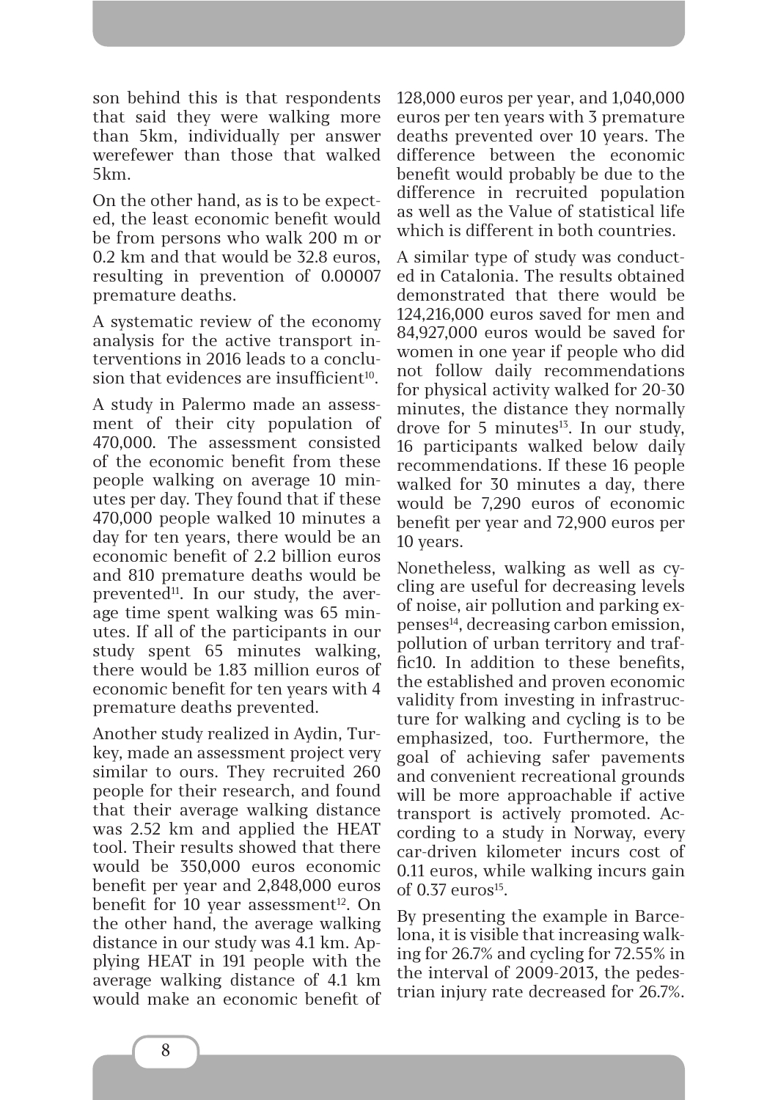son behind this is that respondents that said they were walking more than 5km, individually per answer werefewer than those that walked 5km.

On the other hand, as is to be expected, the least economic benefit would be from persons who walk 200 m or 0.2 km and that would be 32.8 euros, resulting in prevention of 0.00007 premature deaths.

A systematic review of the economy analysis for the active transport interventions in 2016 leads to a conclusion that evidences are insufficient<sup>10</sup>.

A study in Palermo made an assessment of their city population of 470,000. The assessment consisted of the economic benefit from these people walking on average 10 minutes per day. They found that if these 470,000 people walked 10 minutes a day for ten years, there would be an economic benefit of 2.2 billion euros and 810 premature deaths would be prevented<sup>11</sup>. In our study, the average time spent walking was 65 minutes. If all of the participants in our study spent 65 minutes walking, there would be 1.83 million euros of economic benefit for ten years with 4 premature deaths prevented.

Another study realized in Aydin, Turkey, made an assessment project very similar to ours. They recruited 260 people for their research, and found that their average walking distance was 2.52 km and applied the HEAT tool. Their results showed that there would be 350,000 euros economic benefit per year and 2,848,000 euros benefit for 10 year assessment<sup>12</sup>. On the other hand, the average walking distance in our study was 4.1 km. Applying HEAT in 191 people with the average walking distance of 4.1 km would make an economic benefit of 128,000 euros per year, and 1,040,000 euros per ten years with 3 premature deaths prevented over 10 years. The difference between the economic benefit would probably be due to the difference in recruited population as well as the Value of statistical life which is different in both countries.

A similar type of study was conducted in Catalonia. The results obtained demonstrated that there would be 124,216,000 euros saved for men and 84,927,000 euros would be saved for women in one year if people who did not follow daily recommendations for physical activity walked for 20-30 minutes, the distance they normally drove for 5 minutes<sup>13</sup>. In our study, 16 participants walked below daily recommendations. If these 16 people walked for 30 minutes a day, there would be 7,290 euros of economic benefit per year and 72,900 euros per 10 years.

Nonetheless, walking as well as cycling are useful for decreasing levels of noise, air pollution and parking expenses14, decreasing carbon emission, pollution of urban territory and traffic10. In addition to these benefits, the established and proven economic validity from investing in infrastructure for walking and cycling is to be emphasized, too. Furthermore, the goal of achieving safer pavements and convenient recreational grounds will be more approachable if active transport is actively promoted. According to a study in Norway, every car-driven kilometer incurs cost of 0.11 euros, while walking incurs gain of  $0.37$  euros<sup>15</sup>.

By presenting the example in Barcelona, it is visible that increasing walking for 26.7% and cycling for 72.55% in the interval of 2009-2013, the pedestrian injury rate decreased for 26.7%.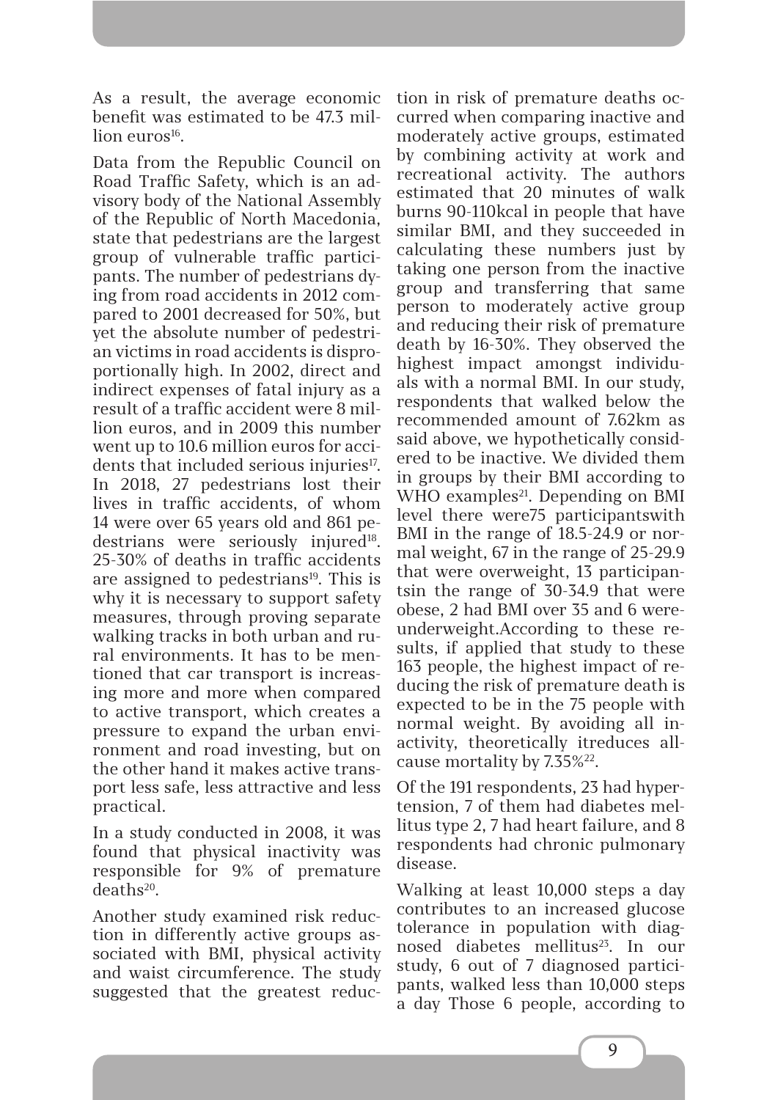As a result, the average economic benefit was estimated to be 47.3 mil- $\lim$  euros<sup>16</sup>.

Data from the Republic Council on Road Traffic Safety, which is an advisory body of the National Assembly of the Republic of North Macedonia, state that pedestrians are the largest group of vulnerable traffic participants. The number of pedestrians dying from road accidents in 2012 compared to 2001 decreased for 50%, but yet the absolute number of pedestrian victims in road accidents is disproportionally high. In 2002, direct and indirect expenses of fatal injury as a result of a traffic accident were 8 million euros, and in 2009 this number went up to 10.6 million euros for accidents that included serious injuries<sup>17</sup>. In 2018, 27 pedestrians lost their lives in traffic accidents, of whom 14 were over 65 years old and 861 pedestrians were seriously injured<sup>18</sup>. 25-30% of deaths in traffic accidents are assigned to pedestrians<sup>19</sup>. This is why it is necessary to support safety measures, through proving separate walking tracks in both urban and rural environments. It has to be mentioned that car transport is increasing more and more when compared to active transport, which creates a pressure to expand the urban environment and road investing, but on the other hand it makes active transport less safe, less attractive and less practical.

In a study conducted in 2008, it was found that physical inactivity was responsible for 9% of premature deaths20.

Another study examined risk reduction in differently active groups associated with BMI, physical activity and waist circumference. The study suggested that the greatest reduction in risk of premature deaths occurred when comparing inactive and moderately active groups, estimated by combining activity at work and recreational activity. The authors estimated that 20 minutes of walk burns 90-110kcal in people that have similar BMI, and they succeeded in calculating these numbers just by taking one person from the inactive group and transferring that same person to moderately active group and reducing their risk of premature death by 16-30%. They observed the highest impact amongst individuals with a normal BMI. In our study, respondents that walked below the recommended amount of 7.62km as said above, we hypothetically considered to be inactive. We divided them in groups by their BMI according to WHO examples $^{21}$ . Depending on BMI level there were75 participantswith BMI in the range of 18.5-24.9 or normal weight, 67 in the range of 25-29.9 that were overweight, 13 participantsin the range of 30-34.9 that were obese, 2 had BMI over 35 and 6 wereunderweight.According to these results, if applied that study to these 163 people, the highest impact of reducing the risk of premature death is expected to be in the 75 people with normal weight. By avoiding all inactivity, theoretically itreduces allcause mortality by 7.35%22.

Of the 191 respondents, 23 had hypertension, 7 of them had diabetes mellitus type 2, 7 had heart failure, and 8 respondents had chronic pulmonary disease.

Walking at least 10,000 steps a day contributes to an increased glucose tolerance in population with diagnosed diabetes mellitus<sup>23</sup>. In our study, 6 out of 7 diagnosed participants, walked less than 10,000 steps a day Those 6 people, according to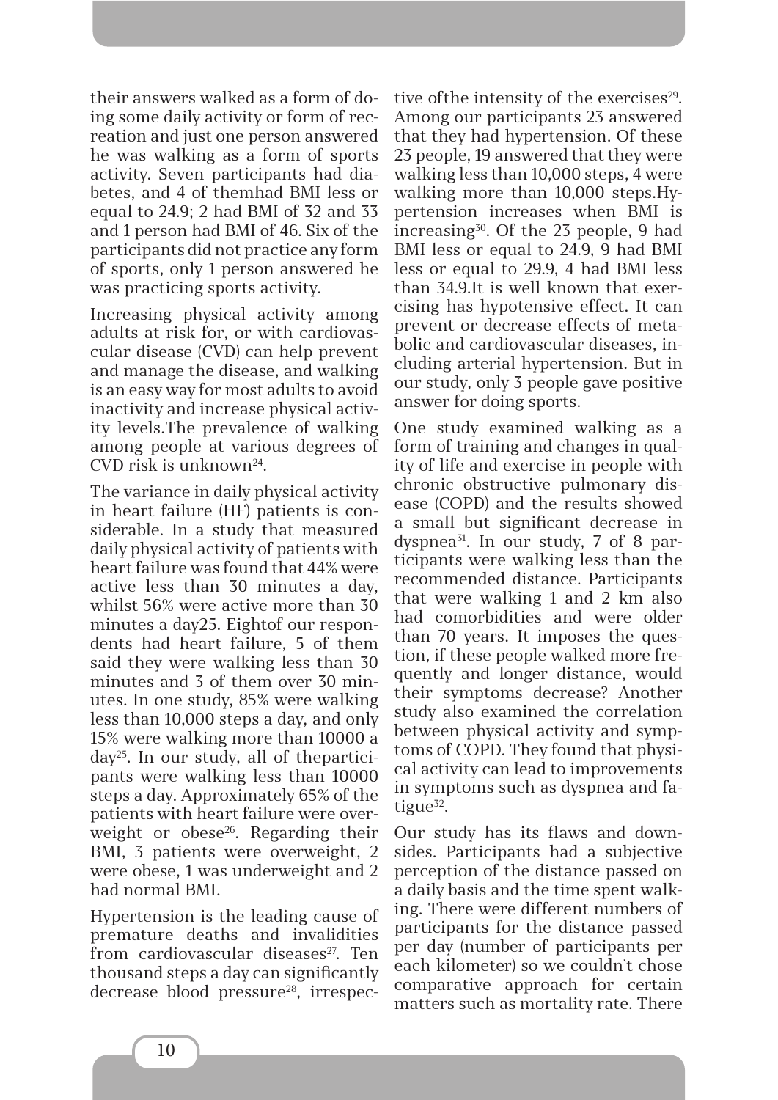their answers walked as a form of doing some daily activity or form of recreation and just one person answered he was walking as a form of sports activity. Seven participants had diabetes, and 4 of themhad BMI less or equal to 24.9; 2 had BMI of 32 and 33 and 1 person had BMI of 46. Six of the participants did not practice any form of sports, only 1 person answered he was practicing sports activity.

Increasing physical activity among adults at risk for, or with cardiovascular disease (CVD) can help prevent and manage the disease, and walking is an easy way for most adults to avoid inactivity and increase physical activity levels.The prevalence of walking among people at various degrees of CVD risk is unknown24.

The variance in daily physical activity in heart failure (HF) patients is considerable. In a study that measured daily physical activity of patients with heart failure was found that 44% were active less than 30 minutes a day, whilst 56% were active more than 30 minutes a day25. Eightof our respondents had heart failure, 5 of them said they were walking less than 30 minutes and 3 of them over 30 minutes. In one study, 85% were walking less than 10,000 steps a day, and only 15% were walking more than 10000 a day25. In our study, all of theparticipants were walking less than 10000 steps a day. Approximately 65% of the patients with heart failure were overweight or obese $26$ . Regarding their BMI, 3 patients were overweight, 2 were obese, 1 was underweight and 2 had normal BMI.

Hypertension is the leading cause of premature deaths and invalidities from cardiovascular diseases<sup>27</sup>. Ten thousand steps a day can significantly decrease blood pressure<sup>28</sup>, irrespective of the intensity of the exercises $29$ . Among our participants 23 answered that they had hypertension. Of these 23 people, 19 answered that they were walking less than 10,000 steps, 4 were walking more than 10,000 steps.Hypertension increases when BMI is increasing30. Of the 23 people, 9 had BMI less or equal to 24.9, 9 had BMI less or equal to 29.9, 4 had BMI less than 34.9.It is well known that exercising has hypotensive effect. It can prevent or decrease effects of metabolic and cardiovascular diseases, including arterial hypertension. But in our study, only 3 people gave positive answer for doing sports.

One study examined walking as a form of training and changes in quality of life and exercise in people with chronic obstructive pulmonary disease (COPD) and the results showed a small but significant decrease in dyspnea<sup>31</sup>. In our study, 7 of 8 participants were walking less than the recommended distance. Participants that were walking 1 and 2 km also had comorbidities and were older than 70 years. It imposes the question, if these people walked more frequently and longer distance, would their symptoms decrease? Another study also examined the correlation between physical activity and symptoms of COPD. They found that physical activity can lead to improvements in symptoms such as dyspnea and fatigue $32$ .

Our study has its flaws and downsides. Participants had a subjective perception of the distance passed on a daily basis and the time spent walking. There were different numbers of participants for the distance passed per day (number of participants per each kilometer) so we couldn`t chose comparative approach for certain matters such as mortality rate. There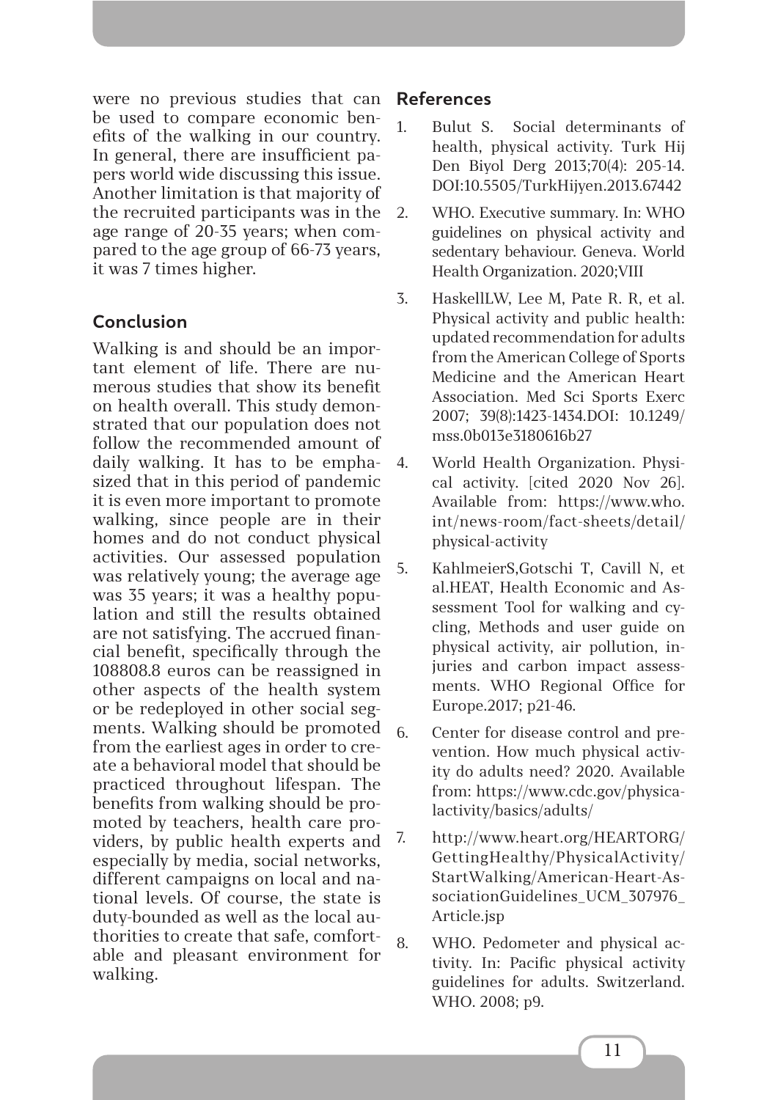were no previous studies that can be used to compare economic benefits of the walking in our country. In general, there are insufficient papers world wide discussing this issue. Another limitation is that majority of the recruited participants was in the age range of 20-35 years; when compared to the age group of 66-73 years, it was 7 times higher.

## **Conclusion**

Walking is and should be an important element of life. There are numerous studies that show its benefit on health overall. This study demonstrated that our population does not follow the recommended amount of daily walking. It has to be emphasized that in this period of pandemic it is even more important to promote walking, since people are in their homes and do not conduct physical activities. Our assessed population was relatively young; the average age was 35 years; it was a healthy population and still the results obtained are not satisfying. The accrued financial benefit, specifically through the 108808.8 euros can be reassigned in other aspects of the health system or be redeployed in other social segments. Walking should be promoted from the earliest ages in order to create a behavioral model that should be practiced throughout lifespan. The benefits from walking should be promoted by teachers, health care providers, by public health experts and especially by media, social networks, different campaigns on local and national levels. Of course, the state is duty-bounded as well as the local authorities to create that safe, comfortable and pleasant environment for walking.

## **References**

- 1. Bulut S. Social determinants of health, physical activity. Turk Hij Den Biyol Derg 2013;70(4): 205-14. DOI:10.5505/TurkHijyen.2013.67442
- 2. WHO. Executive summary. In: WHO guidelines on physical activity and sedentary behaviour. Geneva. World Health Organization. 2020;VIII
	- 3. HaskellLW, Lee M, Pate R. R, et al. Physical activity and public health: updated recommendation for adults from the American College of Sports Medicine and the American Heart Association. Med Sci Sports Exerc 2007; 39(8):1423-1434.DOI: 10.1249/ mss.0b013e3180616b27
- 4. World Health Organization. Physical activity. [cited 2020 Nov 26]. Available from: https://www.who. int/news-room/fact-sheets/detail/ physical-activity
- 5. KahlmeierS,Gotschi T, Cavill N, et al.HEAT, Health Economic and Assessment Tool for walking and cycling, Methods and user guide on physical activity, air pollution, injuries and carbon impact assessments. WHO Regional Office for Europe.2017; p21-46.
- 6. Center for disease control and prevention. How much physical activity do adults need? 2020. Available from: https://www.cdc.gov/physicalactivity/basics/adults/
- 7. http://www.heart.org/HEARTORG/ GettingHealthy/PhysicalActivity/ StartWalking/American-Heart-AssociationGuidelines\_UCM\_307976 Article.jsp
- 8. WHO. Pedometer and physical activity. In: Pacific physical activity guidelines for adults. Switzerland. WHO. 2008; p9.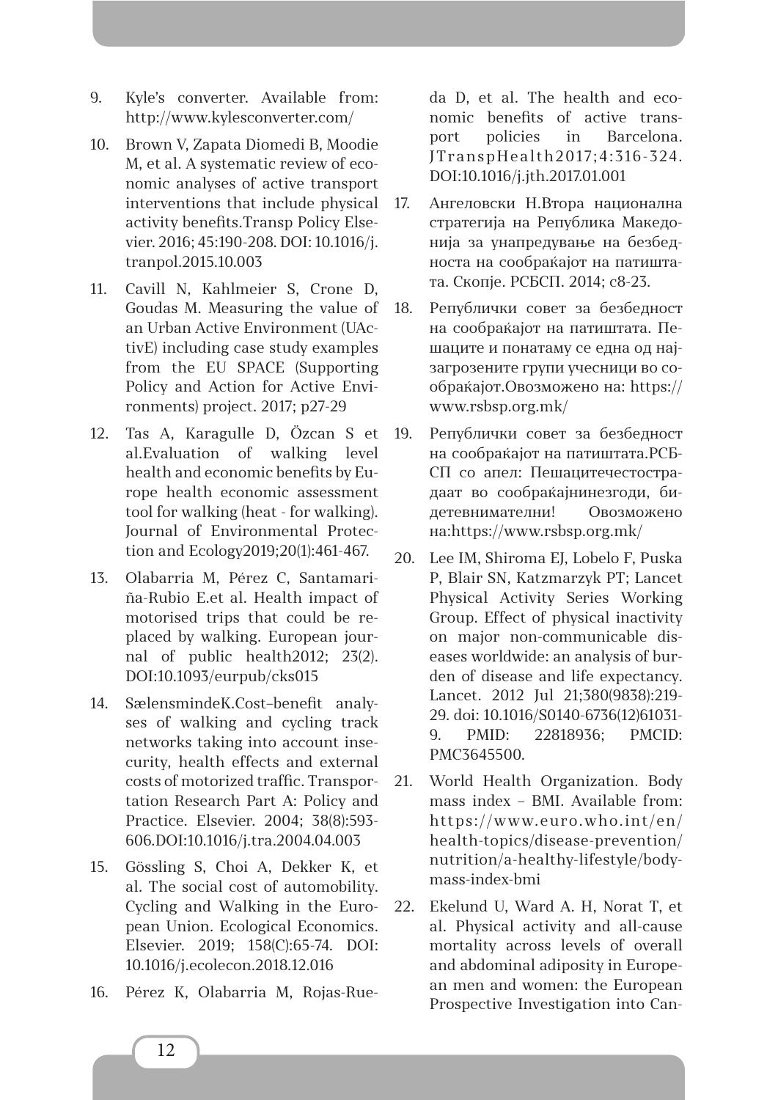- 9. Kyle's converter. Available from: http://www.kylesconverter.com/
- 10. Brown V, Zapata Diomedi B, Moodie M, et al. A systematic review of economic analyses of active transport interventions that include physical activity benefits.Transp Policy Elsevier. 2016; 45:190-208. DOI: 10.1016/j. tranpol.2015.10.003
- 11. Cavill N, Kahlmeier S, Crone D, Goudas M. Measuring the value of an Urban Active Environment (UActivE) including case study examples from the EU SPACE (Supporting Policy and Action for Active Environments) project. 2017; p27-29
- 12. Tas A, Karagulle D, Özcan S et al.Evaluation of walking level health and economic benefits by Europe health economic assessment tool for walking (heat - for walking). Journal of Environmental Protection and Ecology2019;20(1):461-467.
- 13. Olabarria M, Pérez C, Santamariña-Rubio E.et al. Health impact of motorised trips that could be replaced by walking. European journal of public health2012; 23(2). DOI:10.1093/eurpub/cks015
- 14. SælensmindeK.Cost–benefit analyses of walking and cycling track networks taking into account insecurity, health effects and external costs of motorized traffic. Transportation Research Part A: Policy and Practice. Elsevier. 2004; 38(8):593- 606.DOI:10.1016/j.tra.2004.04.003
- 15. Gössling S, Choi A, Dekker K, et al. The social cost of automobility. Cycling and Walking in the European Union. Ecological Economics. Elsevier. 2019; 158(C):65-74. DOI: 10.1016/j.ecolecon.2018.12.016
- 16. Pérez K, Olabarria M, Rojas-Rue-

da D, et al. The health and economic benefits of active transport policies in Barcelona. JTranspHealth2017;4:316-324. DOI:10.1016/j.jth.2017.01.001

- 17. Ангеловски Н.Втора национална стратегија на Република Македонија за унапредување на безбедноста на сообраќајот на патиштата. Скопје. РСБСП. 2014; с8-23.
- 18. Републички совет за безбедност на сообраќајот на патиштата. Пешаците и понатаму се една од најзагрозените групи учесници во сообраќајот.Овозможено на: https:// www.rsbsp.org.mk/
- 19. Републички совет за безбедност на сообраќајот на патиштата.РСБ-СП со апел: Пешацитечестострадаат во сообраќајнинезгоди, бидетевнимателни! Овозможено на:https://www.rsbsp.org.mk/
- 20. Lee IM, Shiroma EJ, Lobelo F, Puska P, Blair SN, Katzmarzyk PT; Lancet Physical Activity Series Working Group. Effect of physical inactivity on major non-communicable diseases worldwide: an analysis of burden of disease and life expectancy. Lancet. 2012 Jul 21;380(9838):219- 29. doi: 10.1016/S0140-6736(12)61031- 9. PMID: 22818936; PMCID: PMC3645500.
- 21. World Health Organization. Body mass index – BMI. Available from: https://www.euro.who.int/en/ health-topics/disease-prevention/ nutrition/a-healthy-lifestyle/bodymass-index-bmi
- 22. Ekelund U, Ward A. H, Norat T, et al. Physical activity and all-cause mortality across levels of overall and abdominal adiposity in European men and women: the European Prospective Investigation into Can-